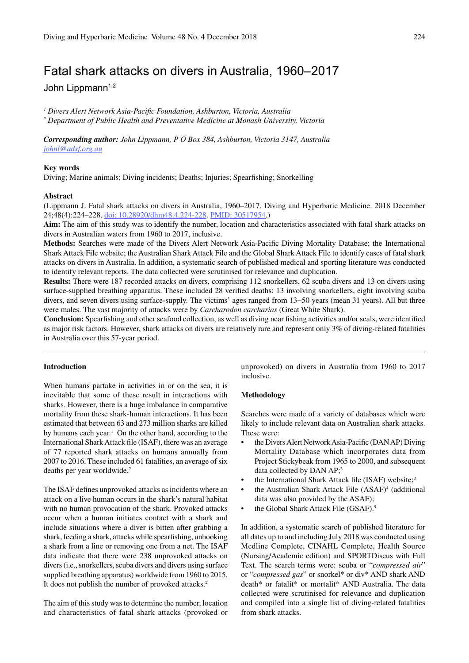# Fatal shark attacks on divers in Australia, 1960–2017

John Lippmann<sup>1,2</sup>

*1 Divers Alert Network Asia-Pacific Foundation, Ashburton, Victoria, Australia 2 Department of Public Health and Preventative Medicine at Monash University, Victoria*

*Corresponding author: John Lippmann, P O Box 384, Ashburton, Victoria 3147, Australia johnl@adsf.org.au*

### **Key words**

Diving; Marine animals; Diving incidents; Deaths; Injuries; Spearfishing; Snorkelling

#### **Abstract**

(Lippmann J. Fatal shark attacks on divers in Australia, 1960–2017. Diving and Hyperbaric Medicine. 2018 December 24;48(4):224–228. doi: 10.28920/dhm48.4.224-228. PMID: 30517954.)

**Aim:** The aim of this study was to identify the number, location and characteristics associated with fatal shark attacks on divers in Australian waters from 1960 to 2017, inclusive.

**Methods:** Searches were made of the Divers Alert Network Asia-Pacific Diving Mortality Database; the International Shark Attack File website; the Australian Shark Attack File and the Global Shark Attack File to identify cases of fatal shark attacks on divers in Australia. In addition, a systematic search of published medical and sporting literature was conducted to identify relevant reports. The data collected were scrutinised for relevance and duplication.

**Results:** There were 187 recorded attacks on divers, comprising 112 snorkellers, 62 scuba divers and 13 on divers using surface-supplied breathing apparatus. These included 28 verified deaths: 13 involving snorkellers, eight involving scuba divers, and seven divers using surface-supply. The victims' ages ranged from 13−50 years (mean 31 years). All but three were males. The vast majority of attacks were by *Carcharodon carcharias* (Great White Shark).

**Conclusion:** Spearfishing and other seafood collection, as well as diving near fishing activities and/or seals, were identified as major risk factors. However, shark attacks on divers are relatively rare and represent only 3% of diving-related fatalities in Australia over this 57-year period.

### **Introduction**

When humans partake in activities in or on the sea, it is inevitable that some of these result in interactions with sharks. However, there is a huge imbalance in comparative mortality from these shark-human interactions. It has been estimated that between 63 and 273 million sharks are killed by humans each year.<sup>1</sup> On the other hand, according to the International Shark Attack file (ISAF), there was an average of 77 reported shark attacks on humans annually from 2007 to 2016. These included 61 fatalities, an average of six deaths per year worldwide.2

The ISAF defines unprovoked attacks as incidents where an attack on a live human occurs in the shark's natural habitat with no human provocation of the shark. Provoked attacks occur when a human initiates contact with a shark and include situations where a diver is bitten after grabbing a shark, feeding a shark, attacks while spearfishing, unhooking a shark from a line or removing one from a net. The ISAF data indicate that there were 238 unprovoked attacks on divers (i.e., snorkellers, scuba divers and divers using surface supplied breathing apparatus) worldwide from 1960 to 2015. It does not publish the number of provoked attacks.<sup>2</sup>

The aim of this study was to determine the number, location and characteristics of fatal shark attacks (provoked or

unprovoked) on divers in Australia from 1960 to 2017 inclusive.

### **Methodology**

Searches were made of a variety of databases which were likely to include relevant data on Australian shark attacks. These were:

- the Divers Alert Network Asia-Pacific (DAN AP) Diving Mortality Database which incorporates data from Project Stickybeak from 1965 to 2000, and subsequent data collected by DAN AP;<sup>3</sup>
- the International Shark Attack file (ISAF) website;<sup>2</sup>
- the Australian Shark Attack File (ASAF)<sup>4</sup> (additional data was also provided by the ASAF);
- the Global Shark Attack File (GSAF).<sup>5</sup>

In addition, a systematic search of published literature for all dates up to and including July 2018 was conducted using Medline Complete, CINAHL Complete, Health Source (Nursing/Academic edition) and SPORTDiscus with Full Text. The search terms were: scuba or "*compressed air*" or "*compressed gas*" or snorkel\* or div\* AND shark AND death\* or fatalit\* or mortalit\* AND Australia. The data collected were scrutinised for relevance and duplication and compiled into a single list of diving-related fatalities from shark attacks.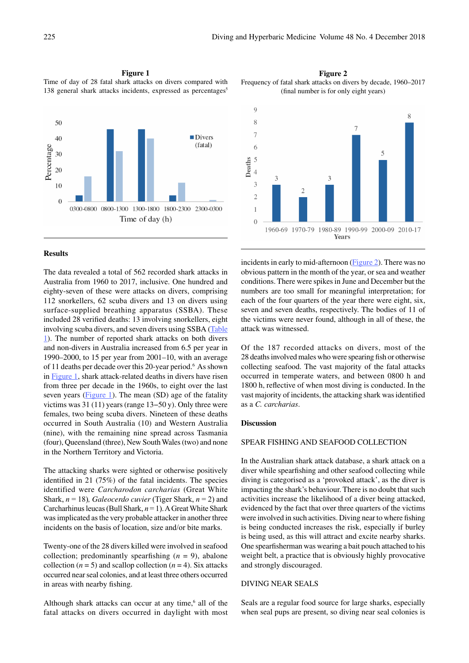**Figure 1**

Time of day of 28 fatal shark attacks on divers compared with 138 general shark attacks incidents, expressed as percentages<sup>5</sup>



#### **Results**

The data revealed a total of 562 recorded shark attacks in Australia from 1960 to 2017, inclusive. One hundred and eighty-seven of these were attacks on divers, comprising 112 snorkellers, 62 scuba divers and 13 on divers using surface-supplied breathing apparatus (SSBA). These included 28 verified deaths: 13 involving snorkellers, eight involving scuba divers, and seven divers using SSBA (Table 1). The number of reported shark attacks on both divers and non-divers in Australia increased from 6.5 per year in 1990–2000, to 15 per year from 2001–10, with an average of 11 deaths per decade over this 20-year period.<sup>6</sup> As shown in Figure 1, shark attack-related deaths in divers have risen from three per decade in the 1960s, to eight over the last seven years (Figure 1). The mean (SD) age of the fatality victims was 31 (11) years (range 13−50 y). Only three were females, two being scuba divers. Nineteen of these deaths occurred in South Australia (10) and Western Australia (nine), with the remaining nine spread across Tasmania (four), Queensland (three), New South Wales (two) and none in the Northern Territory and Victoria.

The attacking sharks were sighted or otherwise positively identified in 21 (75%) of the fatal incidents. The species identified were *Carcharodon carcharias* (Great White Shark, *n* = 18)*, Galeocerdo cuvier* (Tiger Shark, *n* = 2) and Carcharhinus leucas (Bull Shark, *n* = 1). A Great White Shark was implicated as the very probable attacker in another three incidents on the basis of location, size and/or bite marks.

Twenty-one of the 28 divers killed were involved in seafood collection; predominantly spearfishing  $(n = 9)$ , abalone collection  $(n = 5)$  and scallop collection  $(n = 4)$ . Six attacks occurred near seal colonies, and at least three others occurred in areas with nearby fishing.

Although shark attacks can occur at any time, $6$  all of the fatal attacks on divers occurred in daylight with most

**Figure 2** Frequency of fatal shark attacks on divers by decade, 1960–2017 (final number is for only eight years)



incidents in early to mid-afternoon (Figure 2). There was no obvious pattern in the month of the year, or sea and weather conditions. There were spikes in June and December but the numbers are too small for meaningful interpretation; for each of the four quarters of the year there were eight, six, seven and seven deaths, respectively. The bodies of 11 of the victims were never found, although in all of these, the attack was witnessed.

Of the 187 recorded attacks on divers, most of the 28 deaths involved males who were spearing fish or otherwise collecting seafood. The vast majority of the fatal attacks occurred in temperate waters, and between 0800 h and 1800 h, reflective of when most diving is conducted. In the vast majority of incidents, the attacking shark was identified as a *C. carcharias*.

### **Discussion**

### SPEAR FISHING AND SEAFOOD COLLECTION

In the Australian shark attack database, a shark attack on a diver while spearfishing and other seafood collecting while diving is categorised as a 'provoked attack', as the diver is impacting the shark's behaviour. There is no doubt that such activities increase the likelihood of a diver being attacked, evidenced by the fact that over three quarters of the victims were involved in such activities. Diving near to where fishing is being conducted increases the risk, especially if burley is being used, as this will attract and excite nearby sharks. One spearfisherman was wearing a bait pouch attached to his weight belt, a practice that is obviously highly provocative and strongly discouraged.

### DIVING NEAR SEALS

Seals are a regular food source for large sharks, especially when seal pups are present, so diving near seal colonies is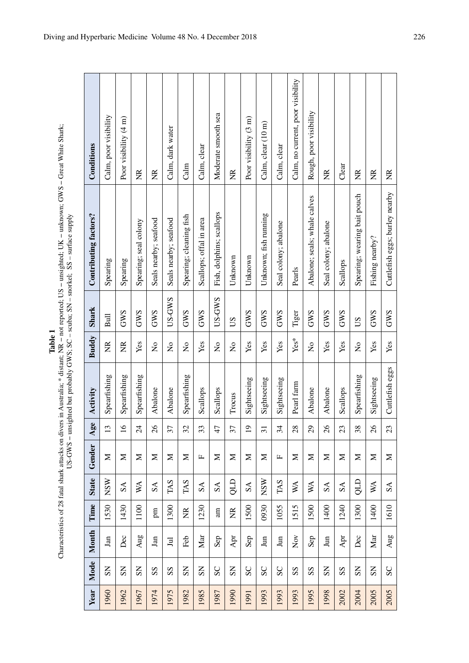Table 1<br>Characteristics of 28 fatal shark attacks on divers in Australia; \* distant; NR – not reported; US – unsighted; UK – unknown; GWS – Great White Shark;<br>US-GWS – unsighted but probably GWS; SC – scuba; SN – snorkel; Characteristics of 28 fatal shark attacks on divers in Australia; \* distant; NR – not reported; US – unsighted; UK – unknown; GWS – Great White Shark;<br>US-GWS – unsighted but probably GWS; SC – scuba; SN – snorkel; SS – sur

| Year | Mode                          | Month                                          | Time                            | <b>State</b>            | Gender       | Age             | Activity        | <b>Buddy</b>              | <b>Shark</b>  | Contributing factors?          | Conditions                        |
|------|-------------------------------|------------------------------------------------|---------------------------------|-------------------------|--------------|-----------------|-----------------|---------------------------|---------------|--------------------------------|-----------------------------------|
| 1960 | $\mathbf{S}$                  | Jan                                            | 1530                            | <b>MSN</b>              | Σ            | $\Xi$           | Spearfishing    | E                         | $_{\rm{Bul}}$ | Spearing                       | Calm, poor visibility             |
| 1962 | SS                            | Dec                                            | 1430                            | SSA                     | Σ            |                 | Spearfishing    | $\widetilde{\Xi}$         | <b>GWS</b>    | Spearing                       | Poor visibility $(4 \text{ m})$   |
| 1967 | SS                            | Aug                                            | 1100                            | WA                      | Σ            | $\frac{4}{3}$   | Spearfishing    | Yes                       | <b>GWS</b>    | Spearing; seal colony          | Ž                                 |
| 1974 | SS                            | $\,\mathrm{Jan}$                               | pm                              | $\mathbf{S} \mathbf{A}$ | $\mathbf{z}$ | $\frac{8}{2}$   | Abalone         | $\mathsf{S}^{\mathsf{o}}$ | <b>GWS</b>    | Seals nearby; seafood          | ž                                 |
| 1975 | SS                            | $\Xi$                                          | 1300                            | TAS                     | Σ            | 37              | Abalone         | $\frac{1}{2}$             | US-GWS        | Seals nearby; seafood          | Calm, dark water                  |
| 1982 | SS                            | Feb                                            | $\frac{\mathbf{R}}{\mathbf{N}}$ | TAS                     | Σ            | 32              | Spearfishing    | $\tilde{z}$               | <b>GWS</b>    | Spearing; cleaning fish        | Calm                              |
| 1985 | SSN                           | $\operatorname{Mar}$                           | 1230                            | SSA                     | щ            | 33              | Scallops        | Yes                       | <b>GWS</b>    | Scallops; offal in area        | Calm, clear                       |
| 1987 | SC                            | Sep                                            | am                              | SSA                     | Σ            | $\frac{4}{7}$   | Scallops        | $\mathsf{S}^{\mathsf{O}}$ | US-GWS        | Fish, dolphins; scallops       | Moderate smooth sea               |
| 1990 | $\overline{\text{S}}\text{N}$ | Apr                                            | $\widetilde{R}$                 | d                       | Σ            | 37              | Trocus          | $\frac{1}{2}$             | SU            | Unknown                        | E                                 |
| 1991 | SC                            | Sep                                            | 1500                            | SSA                     | $\geq$       | $\overline{5}$  | Sightseeing     | Yes                       | <b>GWS</b>    | Unknown                        | Poor visibility (3 m)             |
| 1993 | SC                            | $\,\mathrm{Jun}$                               | 0930                            | <b>NSW</b>              | Σ            | $\overline{5}$  | Sightseeing     | Yes                       | <b>GWS</b>    | Unknown; fish running          | Calm, clear (10 m)                |
| 1993 | SC                            | $\mathop{\mathrm{Im}}$                         | 1055                            | TAS                     | щ            | 34              | Sightseeing     | Yes                       | <b>GWS</b>    | Seal colony; abalone           | Calm, clear                       |
| 1993 | SS                            | $\stackrel{\textstyle\sim}{\phantom{}_{\sim}}$ | 1515                            | WA                      | Σ            | $\frac{8}{3}$   | Pearl farm      | Yes*                      | Tiger         | Pearls                         | Calm, no current, poor visibility |
| 1995 | SS                            | Sep                                            | 1500                            | WA                      | $\geq$       | $\mathcal{S}^2$ | Abalone         | $\tilde{\mathsf{z}}$      | GWS           | Abalone; seals; whale calves   | Rough, poor visibility            |
| 1998 | SS                            | $\,\mathrm{Jun}$                               | 1400                            | SSA                     | Σ            | $\frac{8}{2}$   | Abalone         | Yes                       | <b>GWS</b>    | Seal colony; abalone           | $\widetilde{\Xi}$                 |
| 2002 | $\mathbf{S}$                  | Apr                                            | 1240                            | SSA                     | Σ            | $\mathfrak{Z}$  | Scallops        | Yes                       | <b>GWS</b>    | Scallops                       | Clear                             |
| 2004 | SS                            | Dec                                            | 1300                            | dro                     | Σ            | $\frac{8}{3}$   | Spearfishing    | $\mathsf{S}^{\mathsf{o}}$ | SU            | Spearing; wearing bait pouch   | $\widetilde{\Xi}$                 |
| 2005 | SS                            | Mar                                            | 1400                            | WA                      | Σ            | $\frac{8}{2}$   | Sightseeing     | Yes                       | <b>GWS</b>    | Fishing nearby?                | g                                 |
| 2005 | $S_{\rm C}$                   | Aug                                            | 1610                            | SA                      | $\geq$       | 23              | Cuttlefish eggs | Yes                       | <b>GWS</b>    | Cuttlefish eggs; burley nearby | E                                 |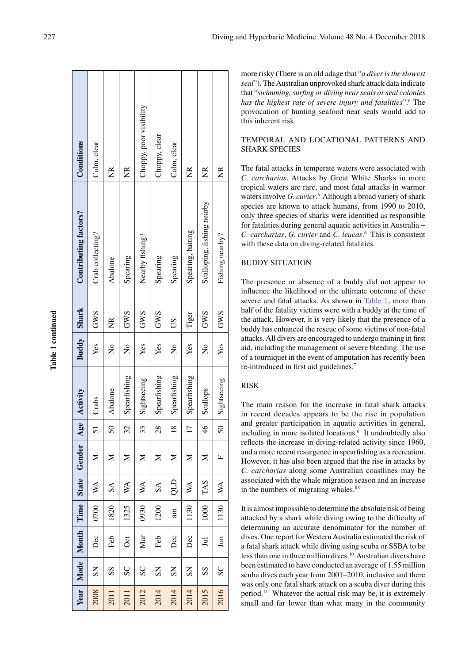| Conditions                   | Calm, clear               |               |                           | Choppy, poor visibility   | Choppy, clear          | Calm, clear            |                            |                            |                 |
|------------------------------|---------------------------|---------------|---------------------------|---------------------------|------------------------|------------------------|----------------------------|----------------------------|-----------------|
|                              |                           | g             | ž                         |                           |                        |                        | ž                          | Z                          | Z               |
| <b>Contributing factors?</b> | Crab collecting?          | Abalone       | Spearing                  | Nearby fishing?           | Spearing               | Spearing               | Spearing, baiting          | Scalloping, fishing nearby | Fishing nearby? |
|                              | <b>GWS</b>                | $\frac{R}{2}$ | SMS                       | <b>GWS</b>                | <b>GWS</b>             | SQ                     | Tiger                      | SMS                        | <b>GWS</b>      |
| <b>Buddy</b> Shark           | Yes                       | $\frac{1}{2}$ | ž                         | Yes                       | Yes                    | $\mathsf{z}^{\circ}$   | Yes                        | $\frac{1}{2}$              | Yes             |
| Activity                     | Crabs                     | Abalone       | Spearfishing              | Sightseeing               | Spearfishing           | Spearfishing           | Spearfishing               | Scallops                   | Sightseeing     |
| Age                          | 51                        | $\mathcal{S}$ | 32                        | 33                        | 28                     | $\frac{8}{18}$         | $\Box$                     | $\frac{4}{6}$              | $\overline{50}$ |
| Gender                       | ⋝                         | Σ             | ⋝                         | Σ                         | Σ                      | Σ                      | ⋝                          | Σ                          | щ               |
| <b>State</b>                 | $\mathbb{X}^{\mathbb{A}}$ | $\mathcal{S}$ | $\mathbb{W}^{\mathbb{A}}$ | $\mathbb{W}^{\mathsf{A}}$ | $S\Lambda$             | dr                     | $\mathbb{X}^{\mathcal{A}}$ | TAS                        | WA              |
| Time                         | 0700                      | 1820          | 1325                      | 0930                      | 1200                   | am                     | 1130                       | 1000                       | 1130            |
| Month                        | Dec                       | Feb           | <b>Oct</b>                | Mar                       | Feb                    | Dec                    | Dec                        | $\Xi$                      | Jun             |
| Mode                         | $\overline{\mathrm{S}}$   | SS            | $\overline{\mathrm{S}}$   | SC                        | $\overline{\text{SS}}$ | $\overline{\text{SS}}$ | $\overline{S}$             | SS                         | $S_{\rm C}$     |
| Year                         | 2008                      | 2011          | 2011                      | 2012                      | 2014                   | 2014                   | 2014                       | 2015                       | 2016            |

more risky (There is an old adage that "*a diver is the slowest seal*"). The Australian unprovoked shark attack data indicate that "*swimming, surfing or diving near seals or seal colonies*  has the highest rate of severe injury and fatalities".<sup>6</sup> The provocation of hunting seafood near seals would add to this inherent risk.

# TEMPORAL AND LOCATIONAL PATTERNS AND SHARK SPECIES

The fatal attacks in temperate waters were associated with *C. carcharias*. Attacks by Great White Sharks in more tropical waters are rare, and most fatal attacks in warmer waters involve *G. cuvier*.<sup>6</sup> Although a broad variety of shark species are known to attack humans, from 1990 to 2010, only three species of sharks were identified as responsible for fatalities during general aquatic activities in Australia − *C. carcharias*, *G. cuvier* and *C. leucas* . 6 This is consistent with these data on diving-related fatalities.

# BUDDY SITUATION

The presence or absence of a buddy did not appear to influence the likelihood or the ultimate outcome of these severe and fatal attacks. As shown in Table 1, more than half of the fatality victims were with a buddy at the time of the attack. However, it is very likely that the presence of a buddy has enhanced the rescue of some victims of non-fatal attacks. All divers are encouraged to undergo training in first aid, including the management of severe bleeding. The use of a tourniquet in the event of amputation has recently been re-introduced in first aid guidelines. 7

### RISK

The main reason for the increase in fatal shark attacks in recent decades appears to be the rise in population and greater participation in aquatic activities in general, including in more isolated locations. 6 It undoubtedly also reflects the increase in diving-related activity since 1960, and a more recent resurgence in spearfishing as a recreation. However, it has also been argued that the rise in attacks by *C. carcharias* along some Australian coastlines may be associated with the whale migration season and an increase in the numbers of migrating whales.<sup>8,9</sup>

It is almost impossible to determine the absolute risk of being attacked by a shark while diving owing to the difficulty of determining an accurate denominator for the number of dives. One report for Western Australia estimated the risk of a fatal shark attack while diving using scuba or SSBA to be less than one in three million dives.10 Australian divers have been estimated to have conducted an average of 1.55 million scuba dives each year from 2001–2010, inclusive and there was only one fatal shark attack on a scuba diver during this period.11 Whatever the actual risk may be, it is extremely small and far lower than what many in the community